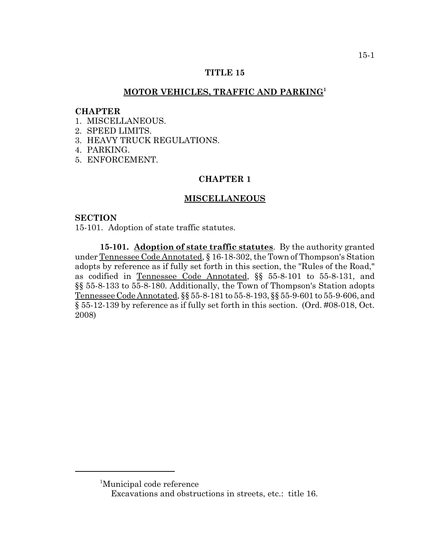## **TITLE 15**

## **MOTOR VEHICLES, TRAFFIC AND PARKING<sup>1</sup>**

#### **CHAPTER**

- 1. MISCELLANEOUS.
- 2. SPEED LIMITS.
- 3. HEAVY TRUCK REGULATIONS.
- 4. PARKING.
- 5. ENFORCEMENT.

# **CHAPTER 1**

## **MISCELLANEOUS**

### **SECTION**

15-101. Adoption of state traffic statutes.

**15-101. Adoption of state traffic statutes**. By the authority granted under Tennessee Code Annotated, § 16-18-302, the Town of Thompson's Station adopts by reference as if fully set forth in this section, the "Rules of the Road," as codified in Tennessee Code Annotated, §§ 55-8-101 to 55-8-131, and §§ 55-8-133 to 55-8-180. Additionally, the Town of Thompson's Station adopts Tennessee Code Annotated, §§ 55-8-181 to 55-8-193, §§ 55-9-601 to 55-9-606, and § 55-12-139 by reference as if fully set forth in this section. (Ord. #08-018, Oct. 2008)

<sup>1</sup> Municipal code reference

Excavations and obstructions in streets, etc.: title 16.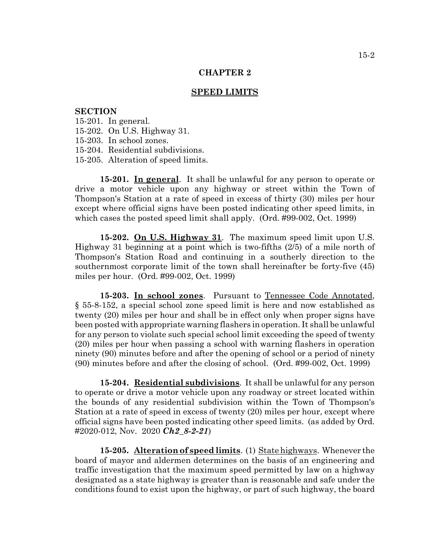#### **SPEED LIMITS**

### **SECTION**

- 15-201. In general.
- 15-202. On U.S. Highway 31.
- 15-203. In school zones.
- 15-204. Residential subdivisions.
- 15-205. Alteration of speed limits.

**15-201. In general**. It shall be unlawful for any person to operate or drive a motor vehicle upon any highway or street within the Town of Thompson's Station at a rate of speed in excess of thirty (30) miles per hour except where official signs have been posted indicating other speed limits, in which cases the posted speed limit shall apply. (Ord. #99-002, Oct. 1999)

**15-202. On U.S. Highway 31**. The maximum speed limit upon U.S. Highway 31 beginning at a point which is two-fifths (2/5) of a mile north of Thompson's Station Road and continuing in a southerly direction to the southernmost corporate limit of the town shall hereinafter be forty-five (45) miles per hour. (Ord. #99-002, Oct. 1999)

**15-203. In school zones**. Pursuant to Tennessee Code Annotated, § 55-8-152, a special school zone speed limit is here and now established as twenty (20) miles per hour and shall be in effect only when proper signs have been posted with appropriate warning flashers in operation. It shall be unlawful for any person to violate such special school limit exceeding the speed of twenty (20) miles per hour when passing a school with warning flashers in operation ninety (90) minutes before and after the opening of school or a period of ninety (90) minutes before and after the closing of school. (Ord. #99-002, Oct. 1999)

**15-204. Residential subdivisions**. It shall be unlawful for any person to operate or drive a motor vehicle upon any roadway or street located within the bounds of any residential subdivision within the Town of Thompson's Station at a rate of speed in excess of twenty (20) miles per hour, except where official signs have been posted indicating other speed limits. (as added by Ord. #2020-012, Nov. 2020 *Ch2\_8-2-21*)

**15-205. Alteration of speed limits**. (1) State highways. Whenever the board of mayor and aldermen determines on the basis of an engineering and traffic investigation that the maximum speed permitted by law on a highway designated as a state highway is greater than is reasonable and safe under the conditions found to exist upon the highway, or part of such highway, the board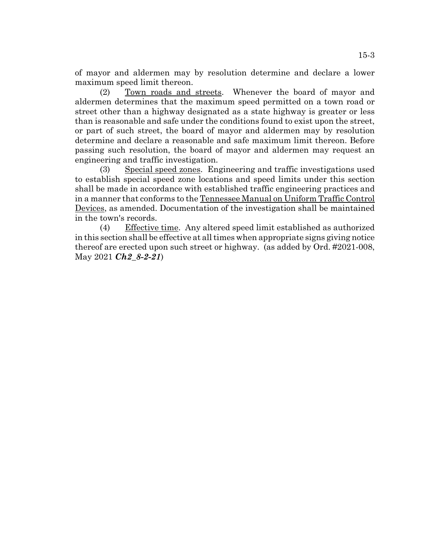of mayor and aldermen may by resolution determine and declare a lower maximum speed limit thereon.

(2) Town roads and streets. Whenever the board of mayor and aldermen determines that the maximum speed permitted on a town road or street other than a highway designated as a state highway is greater or less than is reasonable and safe under the conditions found to exist upon the street, or part of such street, the board of mayor and aldermen may by resolution determine and declare a reasonable and safe maximum limit thereon. Before passing such resolution, the board of mayor and aldermen may request an engineering and traffic investigation.

(3) Special speed zones. Engineering and traffic investigations used to establish special speed zone locations and speed limits under this section shall be made in accordance with established traffic engineering practices and in a manner that conforms to the Tennessee Manual on Uniform Traffic Control Devices, as amended. Documentation of the investigation shall be maintained in the town's records.

(4) Effective time. Any altered speed limit established as authorized in this section shall be effective at all times when appropriate signs giving notice thereof are erected upon such street or highway. (as added by Ord. #2021-008, May 2021 *Ch2\_8-2-21*)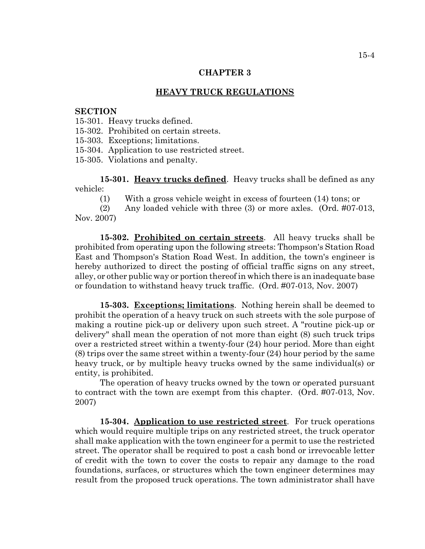#### **HEAVY TRUCK REGULATIONS**

#### **SECTION**

15-301. Heavy trucks defined.

15-302. Prohibited on certain streets.

15-303. Exceptions; limitations.

15-304. Application to use restricted street.

15-305. Violations and penalty.

**15-301. Heavy trucks defined**. Heavy trucks shall be defined as any vehicle:

(1) With a gross vehicle weight in excess of fourteen (14) tons; or

(2) Any loaded vehicle with three (3) or more axles. (Ord. #07-013, Nov. 2007)

**15-302. Prohibited on certain streets**. All heavy trucks shall be prohibited from operating upon the following streets: Thompson's Station Road East and Thompson's Station Road West. In addition, the town's engineer is hereby authorized to direct the posting of official traffic signs on any street, alley, or other public way or portion thereof in which there is an inadequate base or foundation to withstand heavy truck traffic. (Ord. #07-013, Nov. 2007)

**15-303. Exceptions; limitations**. Nothing herein shall be deemed to prohibit the operation of a heavy truck on such streets with the sole purpose of making a routine pick-up or delivery upon such street. A "routine pick-up or delivery" shall mean the operation of not more than eight (8) such truck trips over a restricted street within a twenty-four (24) hour period. More than eight (8) trips over the same street within a twenty-four (24) hour period by the same heavy truck, or by multiple heavy trucks owned by the same individual(s) or entity, is prohibited.

The operation of heavy trucks owned by the town or operated pursuant to contract with the town are exempt from this chapter. (Ord. #07-013, Nov. 2007)

**15-304. Application to use restricted street**. For truck operations which would require multiple trips on any restricted street, the truck operator shall make application with the town engineer for a permit to use the restricted street. The operator shall be required to post a cash bond or irrevocable letter of credit with the town to cover the costs to repair any damage to the road foundations, surfaces, or structures which the town engineer determines may result from the proposed truck operations. The town administrator shall have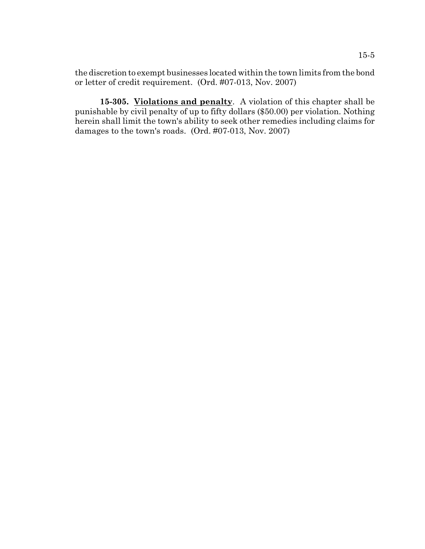the discretion to exempt businesses located within the town limits from the bond or letter of credit requirement. (Ord. #07-013, Nov. 2007)

**15-305. Violations and penalty**. A violation of this chapter shall be punishable by civil penalty of up to fifty dollars (\$50.00) per violation. Nothing herein shall limit the town's ability to seek other remedies including claims for damages to the town's roads. (Ord. #07-013, Nov. 2007)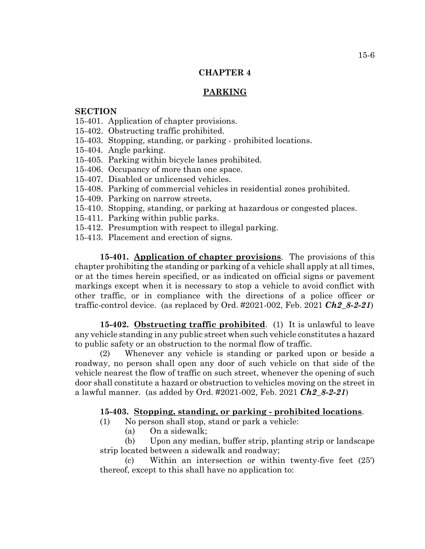# **PARKING**

## **SECTION**

- 15-401. Application of chapter provisions.
- 15-402. Obstructing traffic prohibited.
- 15-403. Stopping, standing, or parking prohibited locations.
- 15-404. Angle parking.
- 15-405. Parking within bicycle lanes prohibited.
- 15-406. Occupancy of more than one space.
- 15-407. Disabled or unlicensed vehicles.
- 15-408. Parking of commercial vehicles in residential zones prohibited.
- 15-409. Parking on narrow streets.
- 15-410. Stopping, standing, or parking at hazardous or congested places.
- 15-411. Parking within public parks.
- 15-412. Presumption with respect to illegal parking.
- 15-413. Placement and erection of signs.

**15-401. Application of chapter provisions**. The provisions of this chapter prohibiting the standing or parking of a vehicle shall apply at all times, or at the times herein specified, or as indicated on official signs or pavement markings except when it is necessary to stop a vehicle to avoid conflict with other traffic, or in compliance with the directions of a police officer or traffic-control device. (as replaced by Ord. #2021-002, Feb. 2021 *Ch2\_8-2-21*)

**15-402. Obstructing traffic prohibited**. (1) It is unlawful to leave any vehicle standing in any public street when such vehicle constitutes a hazard to public safety or an obstruction to the normal flow of traffic.

(2) Whenever any vehicle is standing or parked upon or beside a roadway, no person shall open any door of such vehicle on that side of the vehicle nearest the flow of traffic on such street, whenever the opening of such door shall constitute a hazard or obstruction to vehicles moving on the street in a lawful manner. (as added by Ord. #2021-002, Feb. 2021 *Ch2\_8-2-21*)

# **15-403. Stopping, standing, or parking - prohibited locations**.

- (1) No person shall stop, stand or park a vehicle:
	- (a) On a sidewalk;

(b) Upon any median, buffer strip, planting strip or landscape strip located between a sidewalk and roadway;

(c) Within an intersection or within twenty-five feet (25') thereof, except to this shall have no application to: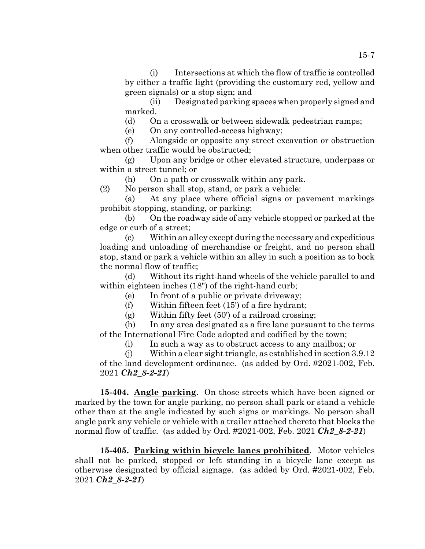(i) Intersections at which the flow of traffic is controlled by either a traffic light (providing the customary red, yellow and green signals) or a stop sign; and

(ii) Designated parking spaces when properly signed and marked.

(d) On a crosswalk or between sidewalk pedestrian ramps;

(e) On any controlled-access highway;

(f) Alongside or opposite any street excavation or obstruction when other traffic would be obstructed;

(g) Upon any bridge or other elevated structure, underpass or within a street tunnel; or

(h) On a path or crosswalk within any park.

(2) No person shall stop, stand, or park a vehicle:

(a) At any place where official signs or pavement markings prohibit stopping, standing, or parking;

(b) On the roadway side of any vehicle stopped or parked at the edge or curb of a street;

(c) Within an alley except during the necessary and expeditious loading and unloading of merchandise or freight, and no person shall stop, stand or park a vehicle within an alley in such a position as to bock the normal flow of traffic;

(d) Without its right-hand wheels of the vehicle parallel to and within eighteen inches (18") of the right-hand curb;

(e) In front of a public or private driveway;

(f) Within fifteen feet (15') of a fire hydrant;

(g) Within fifty feet (50') of a railroad crossing;

(h) In any area designated as a fire lane pursuant to the terms of the International Fire Code adopted and codified by the town;

(i) In such a way as to obstruct access to any mailbox; or

(j) Within a clear sight triangle, as established in section 3.9.12 of the land development ordinance. (as added by Ord. #2021-002, Feb. 2021 *Ch2\_8-2-21*)

**15-404. Angle parking**. On those streets which have been signed or marked by the town for angle parking, no person shall park or stand a vehicle other than at the angle indicated by such signs or markings. No person shall angle park any vehicle or vehicle with a trailer attached thereto that blocks the normal flow of traffic. (as added by Ord. #2021-002, Feb. 2021 *Ch2\_8-2-21*)

**15-405. Parking within bicycle lanes prohibited**. Motor vehicles shall not be parked, stopped or left standing in a bicycle lane except as otherwise designated by official signage. (as added by Ord. #2021-002, Feb. 2021 *Ch2\_8-2-21*)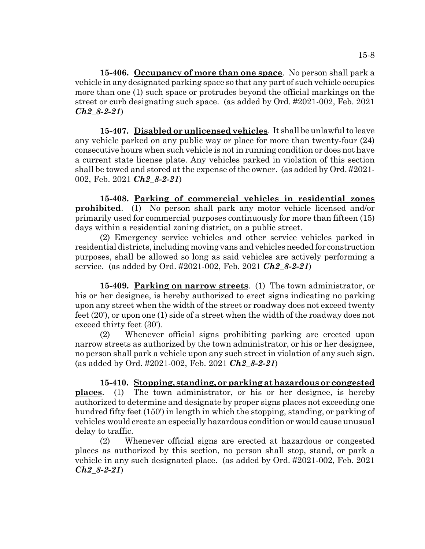**15-406. Occupancy of more than one space**. No person shall park a vehicle in any designated parking space so that any part of such vehicle occupies more than one (1) such space or protrudes beyond the official markings on the street or curb designating such space. (as added by Ord. #2021-002, Feb. 2021 *Ch2\_8-2-21*)

**15-407. Disabled or unlicensed vehicles**. It shall be unlawful to leave any vehicle parked on any public way or place for more than twenty-four (24) consecutive hours when such vehicle is not in running condition or does not have a current state license plate. Any vehicles parked in violation of this section shall be towed and stored at the expense of the owner. (as added by Ord. #2021- 002, Feb. 2021 *Ch2\_8-2-21*)

**15-408. Parking of commercial vehicles in residential zones prohibited**. (1) No person shall park any motor vehicle licensed and/or primarily used for commercial purposes continuously for more than fifteen (15) days within a residential zoning district, on a public street.

(2) Emergency service vehicles and other service vehicles parked in residential districts, including moving vans and vehicles needed for construction purposes, shall be allowed so long as said vehicles are actively performing a service. (as added by Ord. #2021-002, Feb. 2021 *Ch2\_8-2-21*)

**15-409. Parking on narrow streets**. (1) The town administrator, or his or her designee, is hereby authorized to erect signs indicating no parking upon any street when the width of the street or roadway does not exceed twenty feet (20'), or upon one (1) side of a street when the width of the roadway does not exceed thirty feet (30').

(2) Whenever official signs prohibiting parking are erected upon narrow streets as authorized by the town administrator, or his or her designee, no person shall park a vehicle upon any such street in violation of any such sign. (as added by Ord. #2021-002, Feb. 2021 *Ch2\_8-2-21*)

**15-410. Stopping, standing, or parking at hazardous or congested places**. (1) The town administrator, or his or her designee, is hereby authorized to determine and designate by proper signs places not exceeding one hundred fifty feet (150') in length in which the stopping, standing, or parking of vehicles would create an especially hazardous condition or would cause unusual delay to traffic.

(2) Whenever official signs are erected at hazardous or congested places as authorized by this section, no person shall stop, stand, or park a vehicle in any such designated place. (as added by Ord. #2021-002, Feb. 2021 *Ch2\_8-2-21*)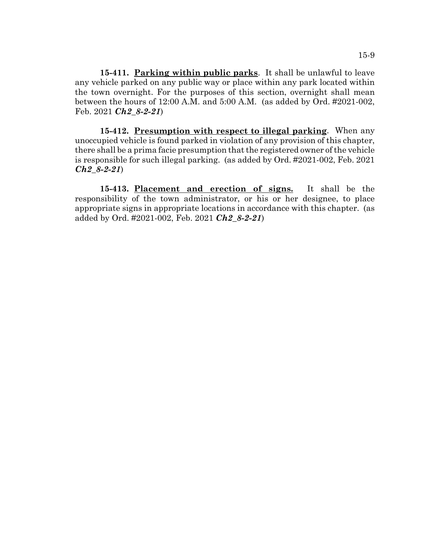**15-411. Parking within public parks**. It shall be unlawful to leave any vehicle parked on any public way or place within any park located within the town overnight. For the purposes of this section, overnight shall mean between the hours of 12:00 A.M. and 5:00 A.M. (as added by Ord. #2021-002, Feb. 2021 *Ch2\_8-2-21*)

**15-412. Presumption with respect to illegal parking**. When any unoccupied vehicle is found parked in violation of any provision of this chapter, there shall be a prima facie presumption that the registered owner of the vehicle is responsible for such illegal parking. (as added by Ord. #2021-002, Feb. 2021 *Ch2\_8-2-21*)

**15-413. Placement and erection of signs.** It shall be the responsibility of the town administrator, or his or her designee, to place appropriate signs in appropriate locations in accordance with this chapter. (as added by Ord. #2021-002, Feb. 2021 *Ch2\_8-2-21*)